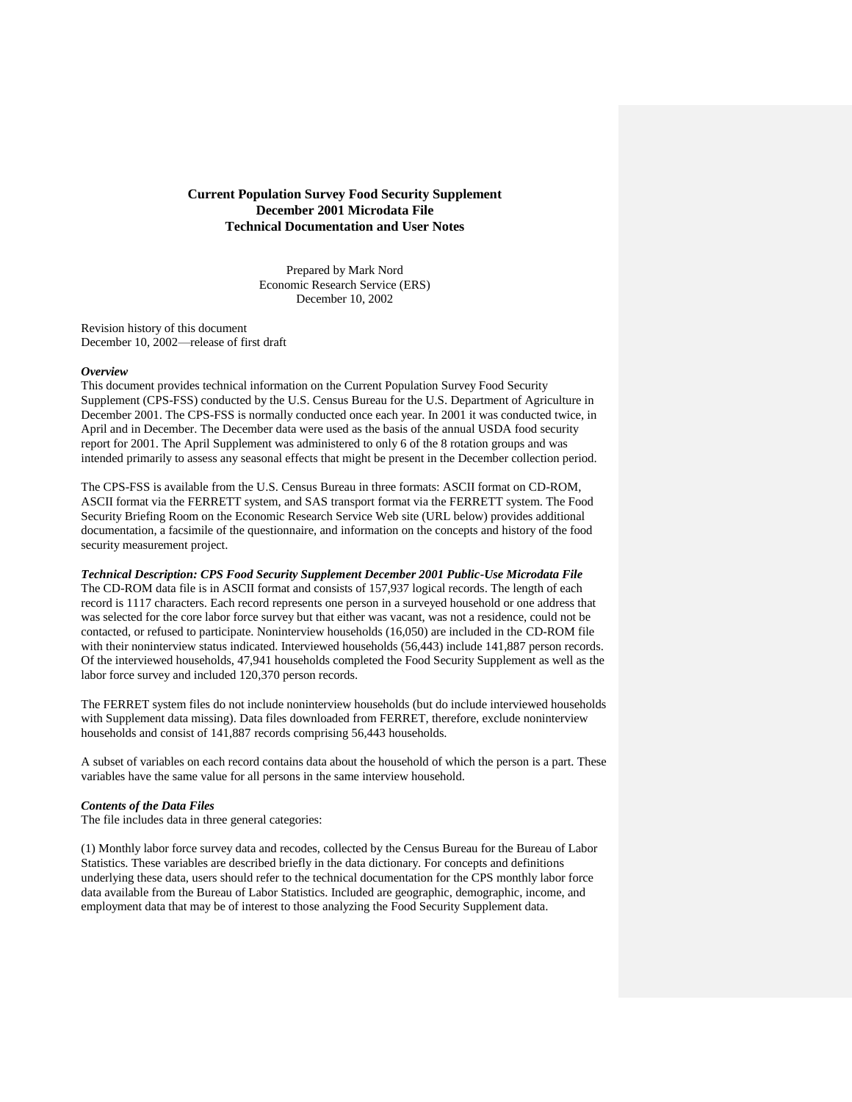## **Current Population Survey Food Security Supplement December 2001 Microdata File Technical Documentation and User Notes**

Prepared by Mark Nord Economic Research Service (ERS) December 10, 2002

Revision history of this document December 10, 2002—release of first draft

#### *Overview*

This document provides technical information on the Current Population Survey Food Security Supplement (CPS-FSS) conducted by the U.S. Census Bureau for the U.S. Department of Agriculture in December 2001. The CPS-FSS is normally conducted once each year. In 2001 it was conducted twice, in April and in December. The December data were used as the basis of the annual USDA food security report for 2001. The April Supplement was administered to only 6 of the 8 rotation groups and was intended primarily to assess any seasonal effects that might be present in the December collection period.

The CPS-FSS is available from the U.S. Census Bureau in three formats: ASCII format on CD-ROM, ASCII format via the FERRETT system, and SAS transport format via the FERRETT system. The Food Security Briefing Room on the Economic Research Service Web site (URL below) provides additional documentation, a facsimile of the questionnaire, and information on the concepts and history of the food security measurement project.

*Technical Description: CPS Food Security Supplement December 2001 Public-Use Microdata File* The CD-ROM data file is in ASCII format and consists of 157,937 logical records. The length of each record is 1117 characters. Each record represents one person in a surveyed household or one address that was selected for the core labor force survey but that either was vacant, was not a residence, could not be contacted, or refused to participate. Noninterview households (16,050) are included in the CD-ROM file with their noninterview status indicated. Interviewed households (56,443) include 141,887 person records. Of the interviewed households, 47,941 households completed the Food Security Supplement as well as the labor force survey and included 120,370 person records.

The FERRET system files do not include noninterview households (but do include interviewed households with Supplement data missing). Data files downloaded from FERRET, therefore, exclude noninterview households and consist of 141,887 records comprising 56,443 households.

A subset of variables on each record contains data about the household of which the person is a part. These variables have the same value for all persons in the same interview household.

### *Contents of the Data Files*

The file includes data in three general categories:

(1) Monthly labor force survey data and recodes, collected by the Census Bureau for the Bureau of Labor Statistics. These variables are described briefly in the data dictionary. For concepts and definitions underlying these data, users should refer to the technical documentation for the CPS monthly labor force data available from the Bureau of Labor Statistics. Included are geographic, demographic, income, and employment data that may be of interest to those analyzing the Food Security Supplement data.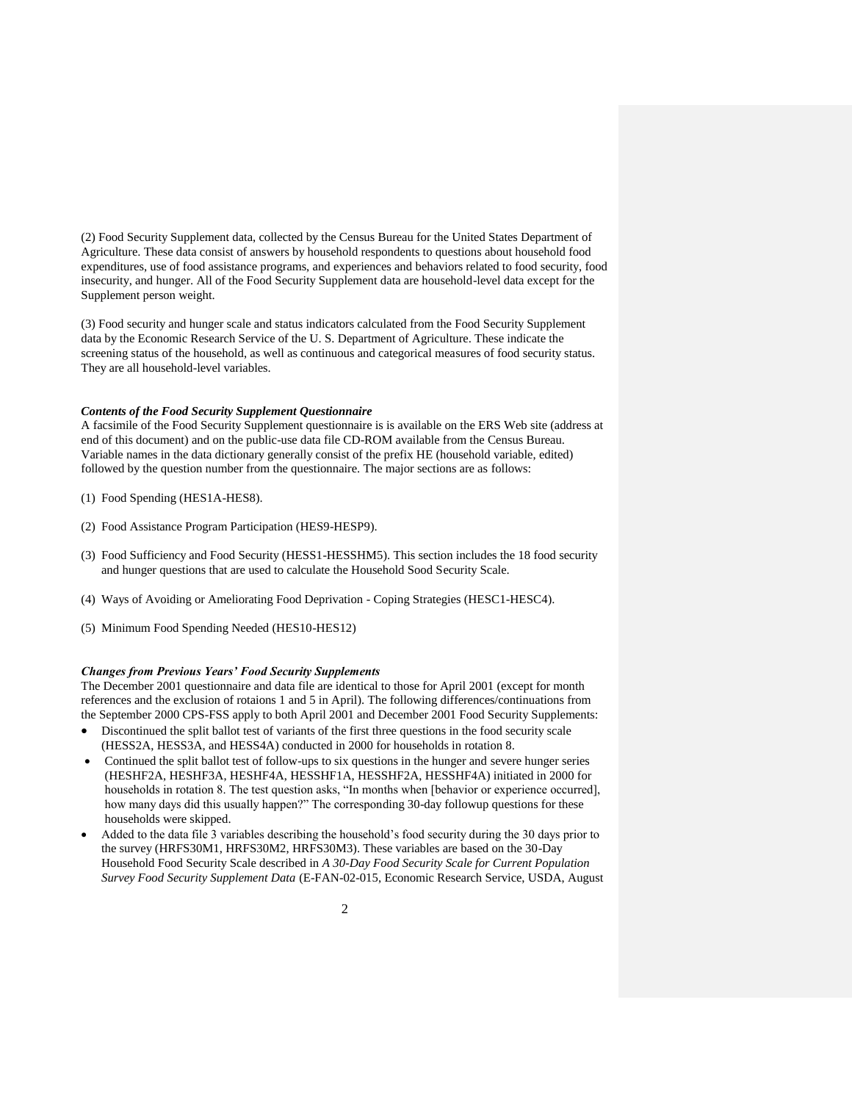(2) Food Security Supplement data, collected by the Census Bureau for the United States Department of Agriculture. These data consist of answers by household respondents to questions about household food expenditures, use of food assistance programs, and experiences and behaviors related to food security, food insecurity, and hunger. All of the Food Security Supplement data are household-level data except for the Supplement person weight.

(3) Food security and hunger scale and status indicators calculated from the Food Security Supplement data by the Economic Research Service of the U. S. Department of Agriculture. These indicate the screening status of the household, as well as continuous and categorical measures of food security status. They are all household-level variables.

### *Contents of the Food Security Supplement Questionnaire*

A facsimile of the Food Security Supplement questionnaire is is available on the ERS Web site (address at end of this document) and on the public-use data file CD-ROM available from the Census Bureau. Variable names in the data dictionary generally consist of the prefix HE (household variable, edited) followed by the question number from the questionnaire. The major sections are as follows:

- (1) Food Spending (HES1A-HES8).
- (2) Food Assistance Program Participation (HES9-HESP9).
- (3) Food Sufficiency and Food Security (HESS1-HESSHM5). This section includes the 18 food security and hunger questions that are used to calculate the Household Sood Security Scale.
- (4) Ways of Avoiding or Ameliorating Food Deprivation Coping Strategies (HESC1-HESC4).
- (5) Minimum Food Spending Needed (HES10-HES12)

#### *Changes from Previous Years' Food Security Supplements*

The December 2001 questionnaire and data file are identical to those for April 2001 (except for month references and the exclusion of rotaions 1 and 5 in April). The following differences/continuations from the September 2000 CPS-FSS apply to both April 2001 and December 2001 Food Security Supplements:

- Discontinued the split ballot test of variants of the first three questions in the food security scale (HESS2A, HESS3A, and HESS4A) conducted in 2000 for households in rotation 8.
- Continued the split ballot test of follow-ups to six questions in the hunger and severe hunger series (HESHF2A, HESHF3A, HESHF4A, HESSHF1A, HESSHF2A, HESSHF4A) initiated in 2000 for households in rotation 8. The test question asks, "In months when [behavior or experience occurred], how many days did this usually happen?" The corresponding 30-day followup questions for these households were skipped.
- Added to the data file 3 variables describing the household's food security during the 30 days prior to the survey (HRFS30M1, HRFS30M2, HRFS30M3). These variables are based on the 30-Day Household Food Security Scale described in *A 30-Day Food Security Scale for Current Population Survey Food Security Supplement Data* (E-FAN-02-015, Economic Research Service, USDA, August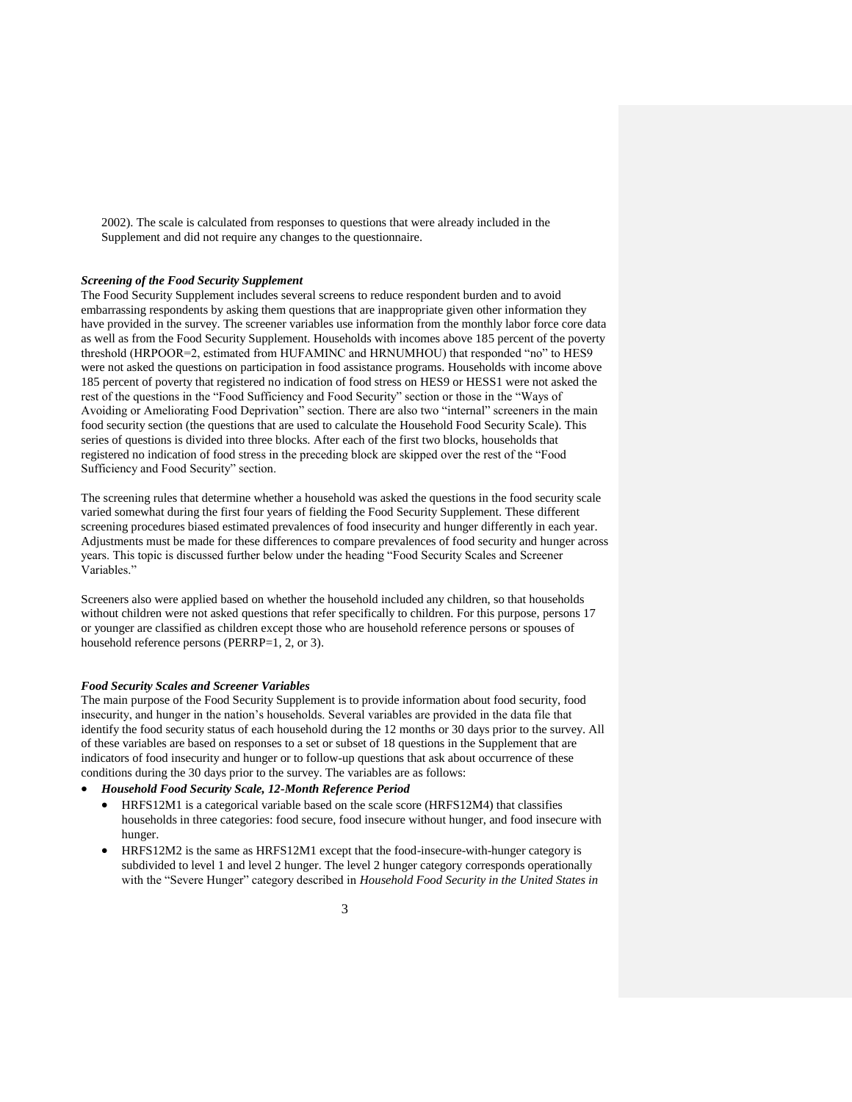2002). The scale is calculated from responses to questions that were already included in the Supplement and did not require any changes to the questionnaire.

### *Screening of the Food Security Supplement*

The Food Security Supplement includes several screens to reduce respondent burden and to avoid embarrassing respondents by asking them questions that are inappropriate given other information they have provided in the survey. The screener variables use information from the monthly labor force core data as well as from the Food Security Supplement. Households with incomes above 185 percent of the poverty threshold (HRPOOR=2, estimated from HUFAMINC and HRNUMHOU) that responded "no" to HES9 were not asked the questions on participation in food assistance programs. Households with income above 185 percent of poverty that registered no indication of food stress on HES9 or HESS1 were not asked the rest of the questions in the "Food Sufficiency and Food Security" section or those in the "Ways of Avoiding or Ameliorating Food Deprivation" section. There are also two "internal" screeners in the main food security section (the questions that are used to calculate the Household Food Security Scale). This series of questions is divided into three blocks. After each of the first two blocks, households that registered no indication of food stress in the preceding block are skipped over the rest of the "Food Sufficiency and Food Security" section.

The screening rules that determine whether a household was asked the questions in the food security scale varied somewhat during the first four years of fielding the Food Security Supplement. These different screening procedures biased estimated prevalences of food insecurity and hunger differently in each year. Adjustments must be made for these differences to compare prevalences of food security and hunger across years. This topic is discussed further below under the heading "Food Security Scales and Screener Variables."

Screeners also were applied based on whether the household included any children, so that households without children were not asked questions that refer specifically to children. For this purpose, persons 17 or younger are classified as children except those who are household reference persons or spouses of household reference persons (PERRP=1, 2, or 3).

#### *Food Security Scales and Screener Variables*

The main purpose of the Food Security Supplement is to provide information about food security, food insecurity, and hunger in the nation's households. Several variables are provided in the data file that identify the food security status of each household during the 12 months or 30 days prior to the survey. All of these variables are based on responses to a set or subset of 18 questions in the Supplement that are indicators of food insecurity and hunger or to follow-up questions that ask about occurrence of these conditions during the 30 days prior to the survey. The variables are as follows:

- *Household Food Security Scale, 12-Month Reference Period*
	- HRFS12M1 is a categorical variable based on the scale score (HRFS12M4) that classifies households in three categories: food secure, food insecure without hunger, and food insecure with hunger.
	- HRFS12M2 is the same as HRFS12M1 except that the food-insecure-with-hunger category is subdivided to level 1 and level 2 hunger. The level 2 hunger category corresponds operationally with the "Severe Hunger" category described in *Household Food Security in the United States in*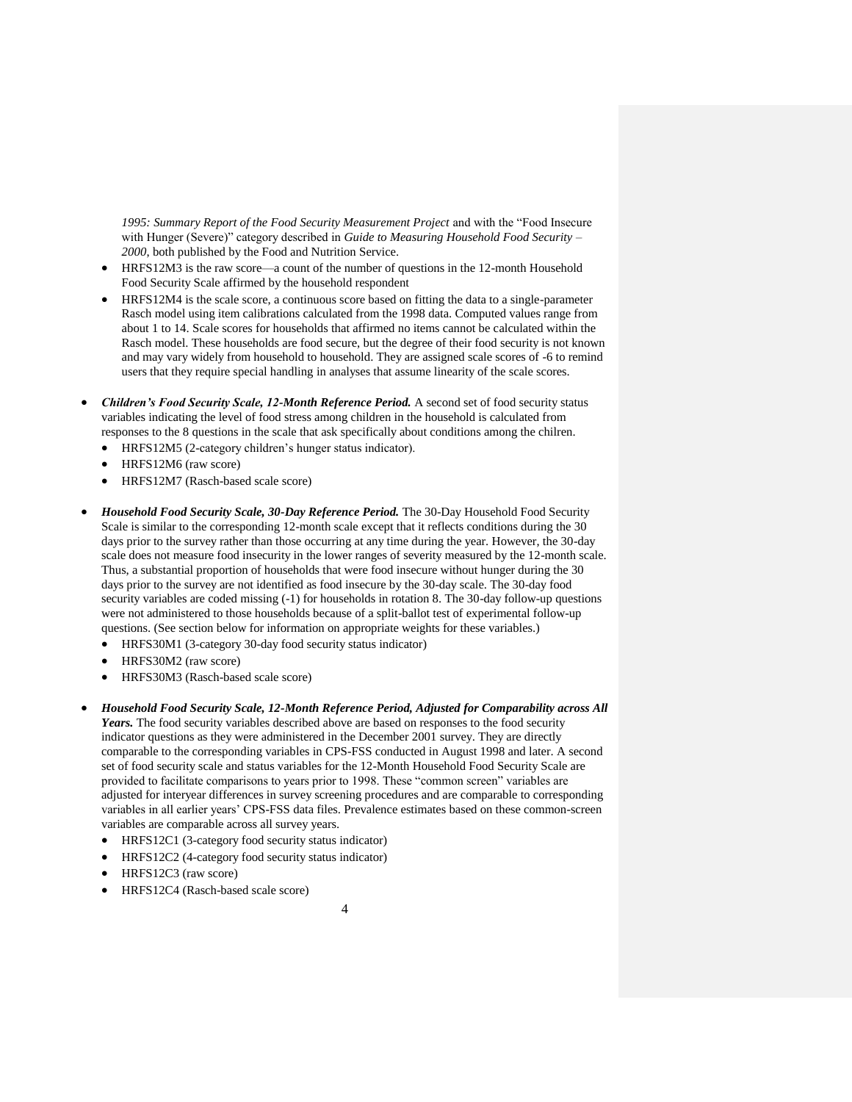*1995: Summary Report of the Food Security Measurement Project* and with the "Food Insecure with Hunger (Severe)" category described in *Guide to Measuring Household Food Security – 2000*, both published by the Food and Nutrition Service.

- HRFS12M3 is the raw score—a count of the number of questions in the 12-month Household Food Security Scale affirmed by the household respondent
- HRFS12M4 is the scale score, a continuous score based on fitting the data to a single-parameter Rasch model using item calibrations calculated from the 1998 data. Computed values range from about 1 to 14. Scale scores for households that affirmed no items cannot be calculated within the Rasch model. These households are food secure, but the degree of their food security is not known and may vary widely from household to household. They are assigned scale scores of -6 to remind users that they require special handling in analyses that assume linearity of the scale scores.
- *Children's Food Security Scale, 12-Month Reference Period.* A second set of food security status variables indicating the level of food stress among children in the household is calculated from responses to the 8 questions in the scale that ask specifically about conditions among the chilren.
	- HRFS12M5 (2-category children's hunger status indicator).
	- HRFS12M6 (raw score)
	- HRFS12M7 (Rasch-based scale score)
- *Household Food Security Scale, 30-Day Reference Period.* The 30-Day Household Food Security Scale is similar to the corresponding 12-month scale except that it reflects conditions during the 30 days prior to the survey rather than those occurring at any time during the year. However, the 30-day scale does not measure food insecurity in the lower ranges of severity measured by the 12-month scale. Thus, a substantial proportion of households that were food insecure without hunger during the 30 days prior to the survey are not identified as food insecure by the 30-day scale. The 30-day food security variables are coded missing (-1) for households in rotation 8. The 30-day follow-up questions were not administered to those households because of a split-ballot test of experimental follow-up questions. (See section below for information on appropriate weights for these variables.)
	- HRFS30M1 (3-category 30-day food security status indicator)
	- HRFS30M2 (raw score)
	- HRFS30M3 (Rasch-based scale score)
- *Household Food Security Scale, 12-Month Reference Period, Adjusted for Comparability across All Years.* The food security variables described above are based on responses to the food security indicator questions as they were administered in the December 2001 survey. They are directly comparable to the corresponding variables in CPS-FSS conducted in August 1998 and later. A second set of food security scale and status variables for the 12-Month Household Food Security Scale are provided to facilitate comparisons to years prior to 1998. These "common screen" variables are adjusted for interyear differences in survey screening procedures and are comparable to corresponding variables in all earlier years' CPS-FSS data files. Prevalence estimates based on these common-screen variables are comparable across all survey years.
	- HRFS12C1 (3-category food security status indicator)
	- HRFS12C2 (4-category food security status indicator)
	- HRFS12C3 (raw score)
	- HRFS12C4 (Rasch-based scale score)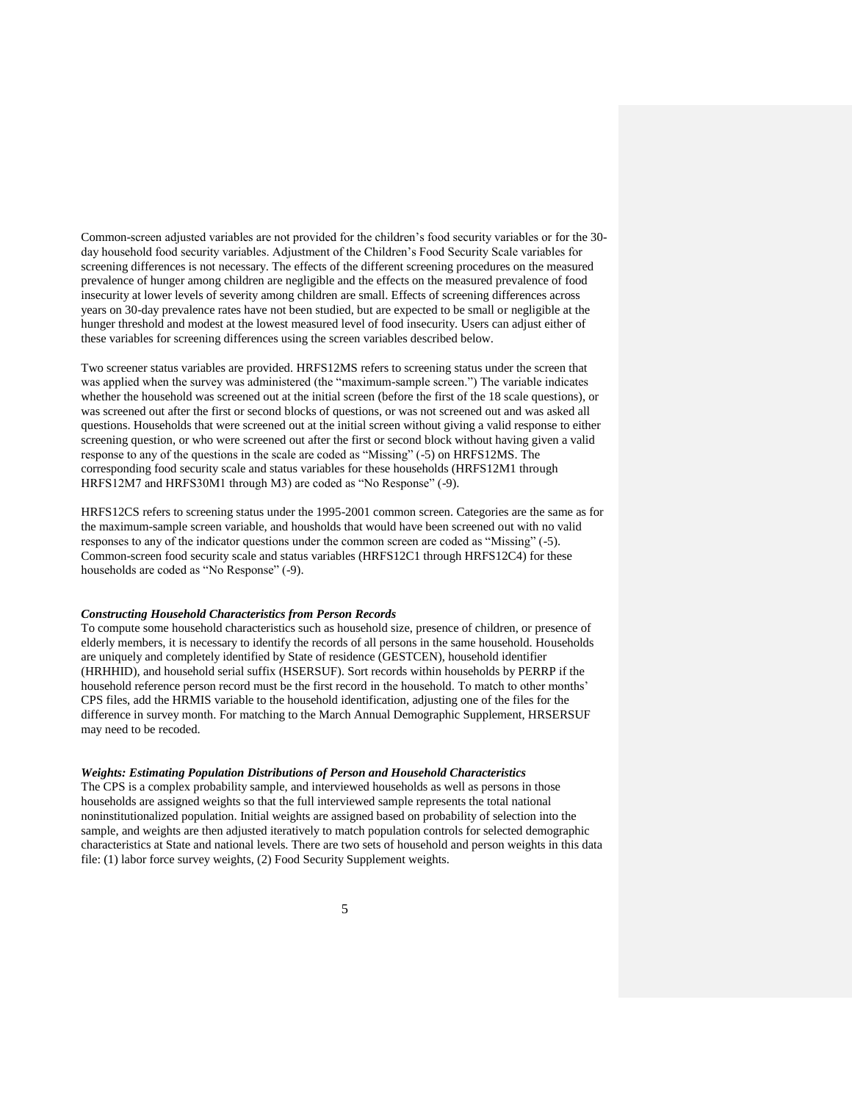Common-screen adjusted variables are not provided for the children's food security variables or for the 30 day household food security variables. Adjustment of the Children's Food Security Scale variables for screening differences is not necessary. The effects of the different screening procedures on the measured prevalence of hunger among children are negligible and the effects on the measured prevalence of food insecurity at lower levels of severity among children are small. Effects of screening differences across years on 30-day prevalence rates have not been studied, but are expected to be small or negligible at the hunger threshold and modest at the lowest measured level of food insecurity. Users can adjust either of these variables for screening differences using the screen variables described below.

Two screener status variables are provided. HRFS12MS refers to screening status under the screen that was applied when the survey was administered (the "maximum-sample screen.") The variable indicates whether the household was screened out at the initial screen (before the first of the 18 scale questions), or was screened out after the first or second blocks of questions, or was not screened out and was asked all questions. Households that were screened out at the initial screen without giving a valid response to either screening question, or who were screened out after the first or second block without having given a valid response to any of the questions in the scale are coded as "Missing" (-5) on HRFS12MS. The corresponding food security scale and status variables for these households (HRFS12M1 through HRFS12M7 and HRFS30M1 through M3) are coded as "No Response" (-9).

HRFS12CS refers to screening status under the 1995-2001 common screen. Categories are the same as for the maximum-sample screen variable, and housholds that would have been screened out with no valid responses to any of the indicator questions under the common screen are coded as "Missing" (-5). Common-screen food security scale and status variables (HRFS12C1 through HRFS12C4) for these households are coded as "No Response" (-9).

### *Constructing Household Characteristics from Person Records*

To compute some household characteristics such as household size, presence of children, or presence of elderly members, it is necessary to identify the records of all persons in the same household. Households are uniquely and completely identified by State of residence (GESTCEN), household identifier (HRHHID), and household serial suffix (HSERSUF). Sort records within households by PERRP if the household reference person record must be the first record in the household. To match to other months' CPS files, add the HRMIS variable to the household identification, adjusting one of the files for the difference in survey month. For matching to the March Annual Demographic Supplement, HRSERSUF may need to be recoded.

# *Weights: Estimating Population Distributions of Person and Household Characteristics*

The CPS is a complex probability sample, and interviewed households as well as persons in those households are assigned weights so that the full interviewed sample represents the total national noninstitutionalized population. Initial weights are assigned based on probability of selection into the sample, and weights are then adjusted iteratively to match population controls for selected demographic characteristics at State and national levels. There are two sets of household and person weights in this data file: (1) labor force survey weights, (2) Food Security Supplement weights.